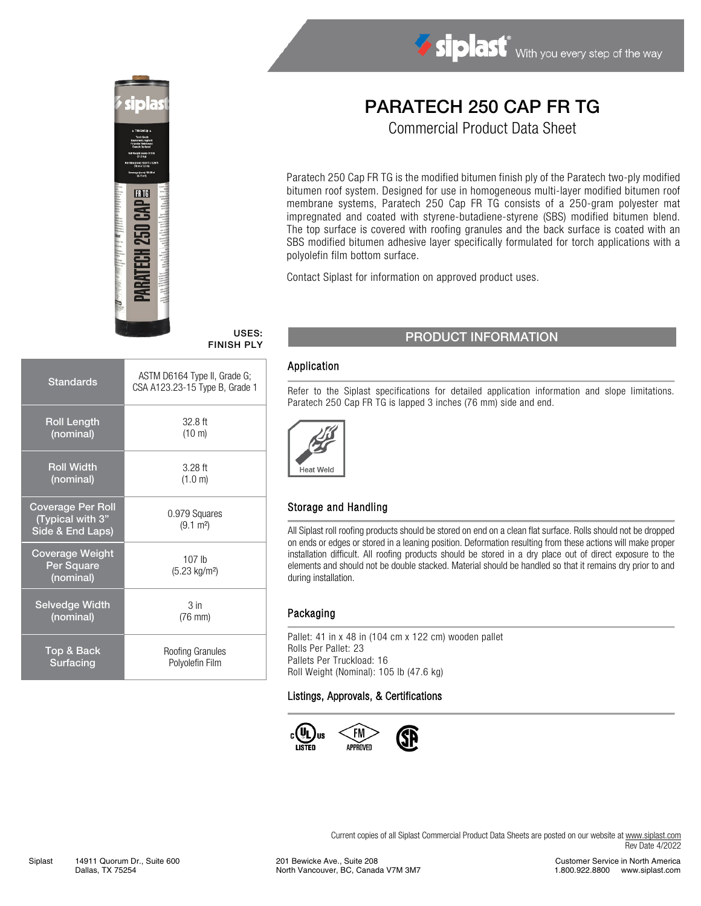

# Siplast With you every step of the way

# PARATECH 250 CAP FR TG

Commercial Product Data Sheet

Paratech 250 Cap FR TG is the modified bitumen finish ply of the Paratech two-ply modified bitumen roof system. Designed for use in homogeneous multi-layer modified bitumen roof membrane systems, Paratech 250 Cap FR TG consists of a 250-gram polyester mat impregnated and coated with styrene-butadiene-styrene (SBS) modified bitumen blend. The top surface is covered with roofing granules and the back surface is coated with an SBS modified bitumen adhesive layer specifically formulated for torch applications with a polyolefin film bottom surface.

Contact Siplast for information on approved product uses.

# FINISH PLY

| <b>Standards</b>                                                 | ASTM D6164 Type II, Grade G;<br>CSA A123.23-15 Type B, Grade 1 |  |
|------------------------------------------------------------------|----------------------------------------------------------------|--|
| <b>Roll Length</b>                                               | $32.8$ ft                                                      |  |
| (nominal)                                                        | (10 m)                                                         |  |
| <b>Roll Width</b>                                                | $3.28$ ft                                                      |  |
| (nominal)                                                        | (1.0 m)                                                        |  |
| <b>Coverage Per Roll</b><br>(Typical with 3"<br>Side & End Laps) | 0.979 Squares<br>$(9.1 \text{ m}^2)$                           |  |
| <b>Coverage Weight</b><br>Per Square<br>(nominal)                | 107 <sub>lh</sub><br>(5.23 kg/m <sup>2</sup> )                 |  |
| <b>Selvedge Width</b>                                            | 3 <sub>in</sub>                                                |  |
| (nominal)                                                        | $(76$ mm $)$                                                   |  |
| Top & Back                                                       | Roofing Granules                                               |  |
| Surfacing                                                        | Polyolefin Film                                                |  |

### USES: PRODUCT INFORMATION

#### Application

Refer to the Siplast specifications for detailed application information and slope limitations. Paratech 250 Cap FR TG is lapped 3 inches (76 mm) side and end.



#### Storage and Handling

All Siplast roll roofing products should be stored on end on a clean flat surface. Rolls should not be dropped on ends or edges or stored in a leaning position. Deformation resulting from these actions will make proper installation difficult. All roofing products should be stored in a dry place out of direct exposure to the elements and should not be double stacked. Material should be handled so that it remains dry prior to and during installation.

#### Packaging

Pallet: 41 in x 48 in (104 cm x 122 cm) wooden pallet Rolls Per Pallet: 23 Pallets Per Truckload: 16 Roll Weight (Nominal): 105 lb (47.6 kg)

#### Listings, Approvals, & Certifications



Current copies of all Siplast Commercial Product Data Sheets are posted on our website at [www.siplast.com](http://www.siplast.com/) Rev Date 4/2022

201 Bewicke Ave., Suite 208 North Vancouver, BC, Canada V7M 3M7

Customer Service in North America 1.800.922.8800 www.siplast.com